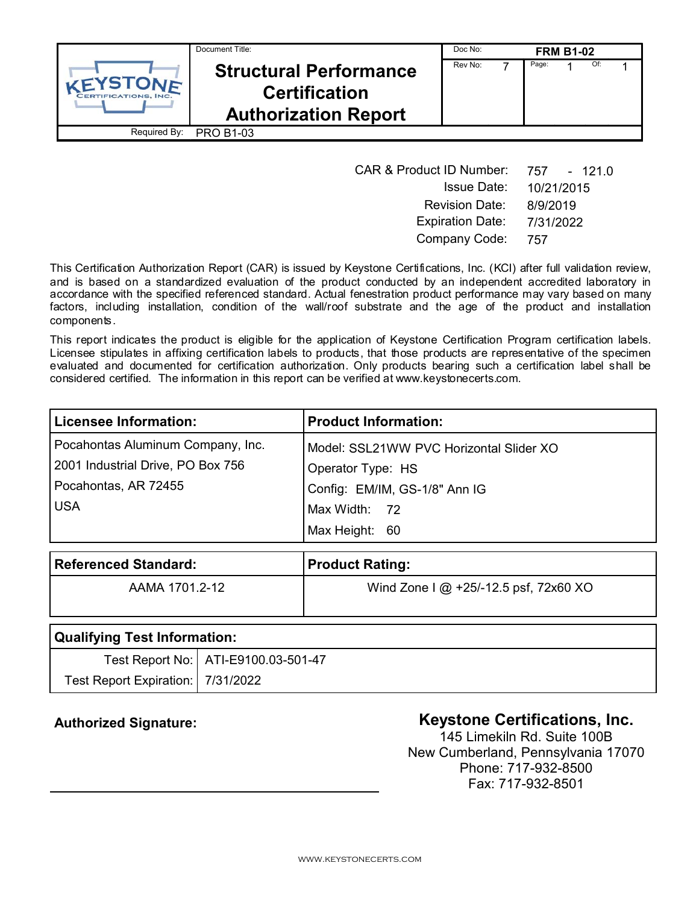|                                       | Document Title:                                                                      | Doc No: |       | <b>FRM B1-02</b> |     |  |
|---------------------------------------|--------------------------------------------------------------------------------------|---------|-------|------------------|-----|--|
| VEYSTONE<br><b>RTIFICATIONS, INC.</b> | <b>Structural Performance</b><br><b>Certification</b><br><b>Authorization Report</b> | Rev No: | Page: |                  | Of: |  |
| Required By:                          | <b>PRO B1-03</b>                                                                     |         |       |                  |     |  |

| <b>CAR &amp; Product ID Number:</b> | 757<br>- 121.0 |
|-------------------------------------|----------------|
| <b>Issue Date:</b>                  | 10/21/2015     |
| <b>Revision Date:</b>               | 8/9/2019       |
| <b>Expiration Date:</b>             | 7/31/2022      |
| Company Code:                       | 757            |

This Certification Authorization Report (CAR) is issued by Keystone Certifications, Inc. (KCI) after full validation review, and is based on a standardized evaluation of the product conducted by an independent accredited laboratory in accordance with the specified referenced standard. Actual fenestration product performance may vary based on many factors, including installation, condition of the wall/roof substrate and the age of the product and installation components.

This report indicates the product is eligible for the application of Keystone Certification Program certification labels. Licensee stipulates in affixing certification labels to products, that those products are representative of the specimen evaluated and documented for certification authorization. Only products bearing such a certification label shall be considered certified. The information in this report can be verified at www.keystonecerts.com.

| <b>Licensee Information:</b>      | <b>Product Information:</b>             |  |
|-----------------------------------|-----------------------------------------|--|
| Pocahontas Aluminum Company, Inc. | Model: SSL21WW PVC Horizontal Slider XO |  |
| 2001 Industrial Drive, PO Box 756 | Operator Type: HS                       |  |
| Pocahontas, AR 72455              | Config: EM/IM, GS-1/8" Ann IG           |  |
| <b>USA</b>                        | Max Width: 72                           |  |
|                                   | Max Height: 60                          |  |

| <b>Referenced Standard:</b> | <b>Product Rating:</b>                                   |
|-----------------------------|----------------------------------------------------------|
| AAMA 1701 2-12              | Wind Zone $1 \text{ @ } +25/12.5 \text{ psf}$ , 72x60 XO |
|                             |                                                          |

| Qualifying Test Information:        |                                       |  |
|-------------------------------------|---------------------------------------|--|
|                                     | Test Report No:   ATI-E9100.03-501-47 |  |
| Test Report Expiration:   7/31/2022 |                                       |  |

# Authorized Signature: **Authorized Signature: Keystone Certifications, Inc.**

145 Limekiln Rd. Suite 100B New Cumberland, Pennsylvania 17070 Phone: 717-932-8500 Fax: 717-932-8501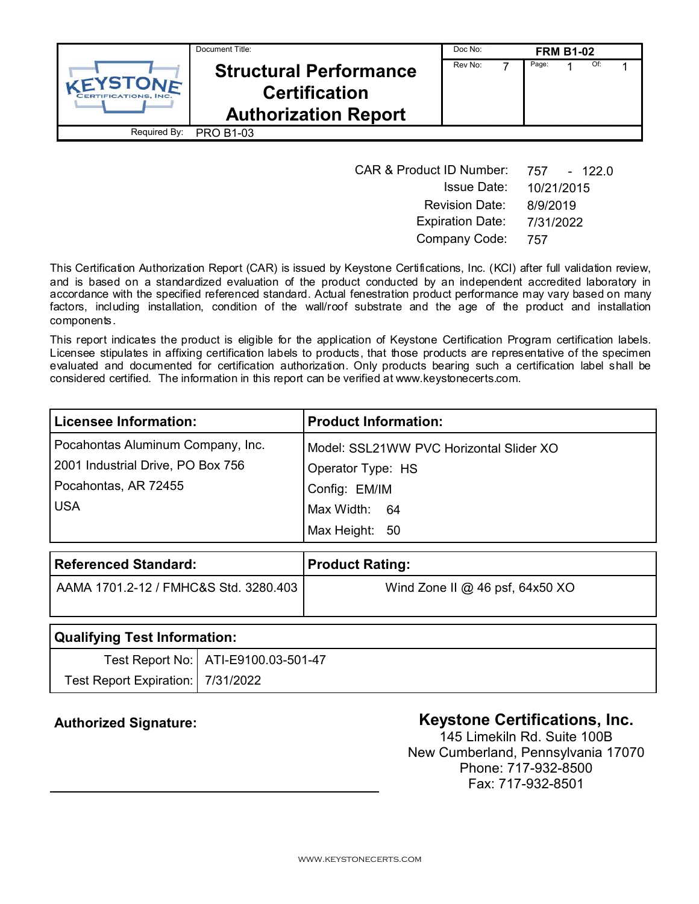|                                       | Document Title:                                                                      | Doc No: |       | <b>FRM B1-02</b> |     |  |
|---------------------------------------|--------------------------------------------------------------------------------------|---------|-------|------------------|-----|--|
| VEYSTONE<br><b>RTIFICATIONS, INC.</b> | <b>Structural Performance</b><br><b>Certification</b><br><b>Authorization Report</b> | Rev No: | Page: |                  | Of: |  |
| Required By:                          | <b>PRO B1-03</b>                                                                     |         |       |                  |     |  |

| <b>CAR &amp; Product ID Number:</b> | 757 - 122.0 |
|-------------------------------------|-------------|
| <b>Issue Date:</b>                  | 10/21/2015  |
| <b>Revision Date:</b>               | 8/9/2019    |
| <b>Expiration Date:</b>             | 7/31/2022   |
| Company Code:                       | 757         |

This Certification Authorization Report (CAR) is issued by Keystone Certifications, Inc. (KCI) after full validation review, and is based on a standardized evaluation of the product conducted by an independent accredited laboratory in accordance with the specified referenced standard. Actual fenestration product performance may vary based on many factors, including installation, condition of the wall/roof substrate and the age of the product and installation components.

This report indicates the product is eligible for the application of Keystone Certification Program certification labels. Licensee stipulates in affixing certification labels to products, that those products are representative of the specimen evaluated and documented for certification authorization. Only products bearing such a certification label shall be considered certified. The information in this report can be verified at www.keystonecerts.com.

| <b>Licensee Information:</b>      | <b>Product Information:</b>             |  |
|-----------------------------------|-----------------------------------------|--|
| Pocahontas Aluminum Company, Inc. | Model: SSL21WW PVC Horizontal Slider XO |  |
| 2001 Industrial Drive, PO Box 756 | Operator Type: HS                       |  |
| Pocahontas, AR 72455              | Config: EM/IM                           |  |
| <b>USA</b>                        | Max Width: 64                           |  |
|                                   | Max Height: 50                          |  |

| <b>Referenced Standard:</b>           | <b>Product Rating:</b>            |
|---------------------------------------|-----------------------------------|
| AAMA 1701.2-12 / FMHC&S Std. 3280.403 | Wind Zone II $@$ 46 psf, 64x50 XO |
|                                       |                                   |

| Qualifying Test Information:        |                                       |  |
|-------------------------------------|---------------------------------------|--|
|                                     | Test Report No:   ATI-E9100.03-501-47 |  |
| Test Report Expiration:   7/31/2022 |                                       |  |

# Authorized Signature: **Authorized Signature: Keystone Certifications, Inc.**

145 Limekiln Rd. Suite 100B New Cumberland, Pennsylvania 17070 Phone: 717-932-8500 Fax: 717-932-8501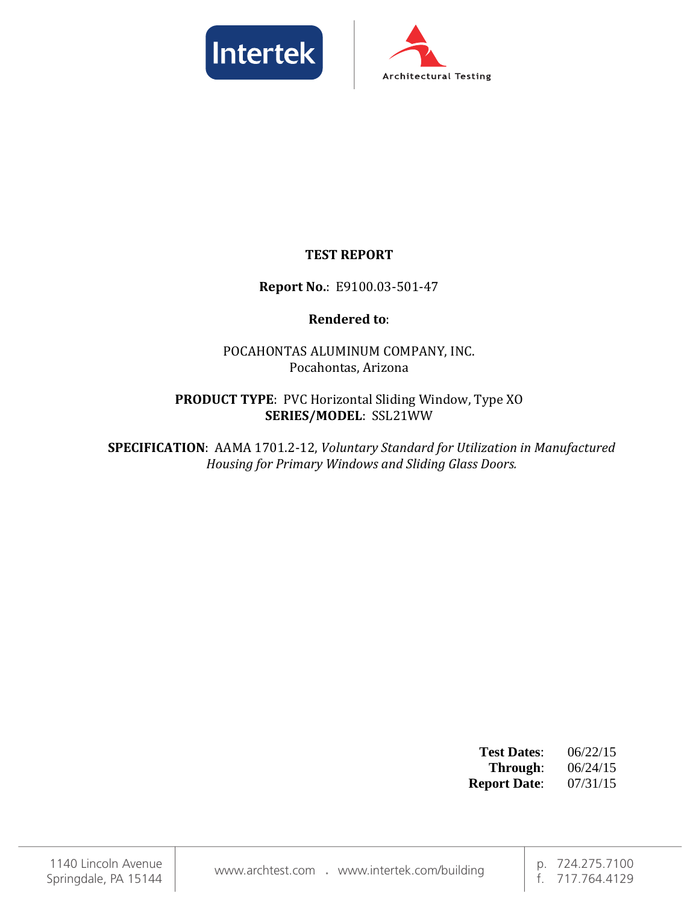



# **TEST REPORT**

# **Report No.**: E9100.03-501-47

# **Rendered to**:

POCAHONTAS ALUMINUM COMPANY, INC. Pocahontas, Arizona

## **PRODUCT TYPE**: PVC Horizontal Sliding Window, Type XO **SERIES/MODEL**: SSL21WW

**SPECIFICATION**: AAMA 1701.2-12, *Voluntary Standard for Utilization in Manufactured Housing for Primary Windows and Sliding Glass Doors.*

| <b>Test Dates:</b>  | 06/22/15 |
|---------------------|----------|
| Through:            | 06/24/15 |
| <b>Report Date:</b> | 07/31/15 |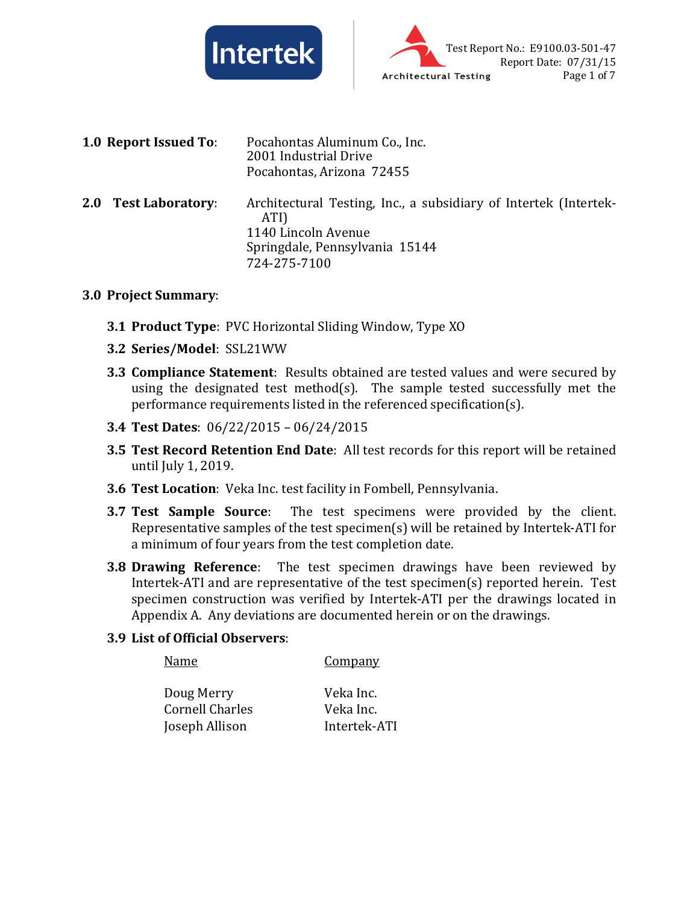



**1.0 Report Issued To**: Pocahontas Aluminum Co., Inc. 2001 Industrial Drive Pocahontas, Arizona 72455 **2.0 Test Laboratory**: Architectural Testing, Inc., a subsidiary of Intertek (Intertek-ATI) 1140 Lincoln Avenue Springdale, Pennsylvania 15144 724-275-7100

#### **3.0 Project Summary**:

- **3.1 Product Type**: PVC Horizontal Sliding Window, Type XO
- **3.2 Series/Model**: SSL21WW
- **3.3 Compliance Statement**: Results obtained are tested values and were secured by using the designated test method(s). The sample tested successfully met the performance requirements listed in the referenced specification(s).
- **3.4 Test Dates**: 06/22/2015 06/24/2015
- **3.5 Test Record Retention End Date**: All test records for this report will be retained until July 1, 2019.
- **3.6 Test Location**: Veka Inc. test facility in Fombell, Pennsylvania.
- **3.7 Test Sample Source**: The test specimens were provided by the client. Representative samples of the test specimen(s) will be retained by Intertek-ATI for a minimum of four years from the test completion date.
- **3.8 Drawing Reference**: The test specimen drawings have been reviewed by Intertek-ATI and are representative of the test specimen(s) reported herein. Test specimen construction was verified by Intertek-ATI per the drawings located in Appendix A. Any deviations are documented herein or on the drawings.

#### **3.9 List of Official Observers**:

| Name            | Company      |
|-----------------|--------------|
| Doug Merry      | Veka Inc.    |
| Cornell Charles | Veka Inc.    |
| Joseph Allison  | Intertek-ATI |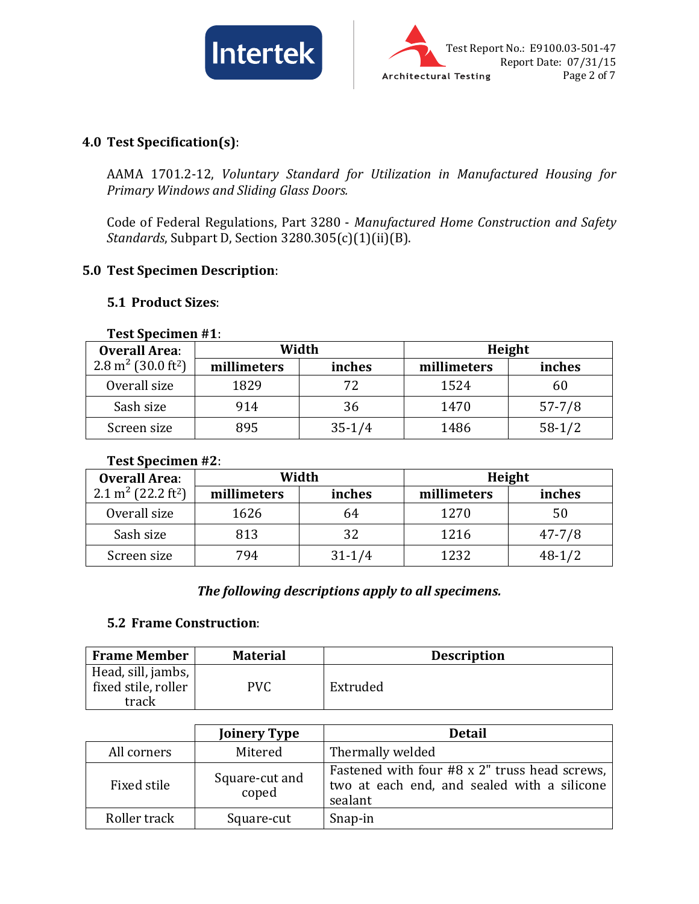



## **4.0 Test Specification(s)**:

AAMA 1701.2-12, *Voluntary Standard for Utilization in Manufactured Housing for Primary Windows and Sliding Glass Doors.*

Code of Federal Regulations, Part 3280 - *Manufactured Home Construction and Safety Standards*, Subpart D, Section 3280.305(c)(1)(ii)(B).

## **5.0 Test Specimen Description**:

## **5.1 Product Sizes**:

|                                           | $1$ C <sub>2</sub> t <i>J</i> publication $\pi$ <b>1</b> . |          |             |            |  |  |
|-------------------------------------------|------------------------------------------------------------|----------|-------------|------------|--|--|
| <b>Overall Area:</b>                      | Width                                                      |          | Height      |            |  |  |
| $2.8 \text{ m}^2$ (30.0 ft <sup>2</sup> ) | millimeters                                                | inches   | millimeters | inches     |  |  |
| Overall size                              | 1829                                                       | 72       | 1524        | 60         |  |  |
| Sash size                                 | 914                                                        | 36       | 1470        | $57 - 7/8$ |  |  |
| Screen size                               | 895                                                        | $35-1/4$ | 1486        | $58-1/2$   |  |  |

#### **Test Specimen #1**:

#### **Test Specimen #2**:

| <b>Overall Area:</b>                       |             | Width      | Height      |            |  |
|--------------------------------------------|-------------|------------|-------------|------------|--|
| 2.1 m <sup>2</sup> (22.2 ft <sup>2</sup> ) | millimeters | inches     | millimeters | inches     |  |
| Overall size                               | 1626        | 64         | 1270        |            |  |
| Sash size                                  | 813         | 32         | 1216        | $47 - 7/8$ |  |
| Screen size                                | 794         | $31 - 1/4$ | 1232        | $48-1/2$   |  |

## *The following descriptions apply to all specimens.*

#### **5.2 Frame Construction**:

| <b>Frame Member</b>                                | <b>Material</b> | <b>Description</b> |
|----------------------------------------------------|-----------------|--------------------|
| Head, sill, jambs,<br>fixed stile, roller<br>track | PVC             | Extruded           |

|              | <b>Joinery Type</b>     | <b>Detail</b>                                                                                           |
|--------------|-------------------------|---------------------------------------------------------------------------------------------------------|
| All corners  | Mitered                 | Thermally welded                                                                                        |
| Fixed stile  | Square-cut and<br>coped | Fastened with four #8 x 2" truss head screws,<br>two at each end, and sealed with a silicone<br>sealant |
| Roller track | Square-cut              | Snap-in                                                                                                 |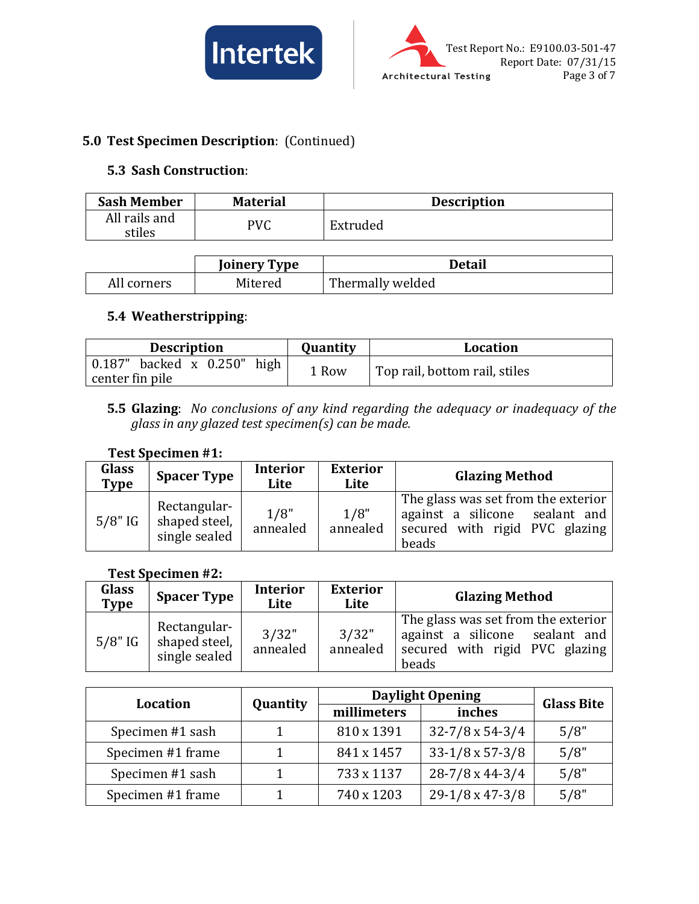



# **5.0 Test Specimen Description**: (Continued)

## **5.3 Sash Construction**:

| <b>Sash Member</b>      | <b>Material</b> | <b>Description</b> |
|-------------------------|-----------------|--------------------|
| All rails and<br>stiles | PVC             | Extruded           |

|             | <b>Joinery Type</b> | <b>Detail</b>    |
|-------------|---------------------|------------------|
| All corners | Mitered             | Thermally welded |

# **5.4 Weatherstripping**:

| <b>Description</b>                | <b>Quantity</b> | <b>Location</b>               |
|-----------------------------------|-----------------|-------------------------------|
| $0.187$ " backed x $0.250$ " high | 1 Row           | Top rail, bottom rail, stiles |
| center fin pile                   |                 |                               |

## **5.5 Glazing**: *No conclusions of any kind regarding the adequacy or inadequacy of the glass in any glazed test specimen(s) can be made.*

#### **Test Specimen #1:**

| Glass<br><b>Type</b> | <b>Spacer Type</b>                             | <b>Interior</b><br>Lite | <b>Exterior</b><br>Lite | <b>Glazing Method</b>                                                                                            |
|----------------------|------------------------------------------------|-------------------------|-------------------------|------------------------------------------------------------------------------------------------------------------|
| $5/8"$ IG            | Rectangular-<br>shaped steel,<br>single sealed | 1/8"<br>annealed        | 1/8"<br>annealed        | The glass was set from the exterior<br>against a silicone sealant and<br>secured with rigid PVC glazing<br>beads |

#### **Test Specimen #2:**

| Glass<br>Type | <b>Spacer Type</b>                             | <b>Interior</b><br>Lite | <b>Exterior</b><br>Lite | <b>Glazing Method</b>                                                                                            |
|---------------|------------------------------------------------|-------------------------|-------------------------|------------------------------------------------------------------------------------------------------------------|
| $5/8"$ IG     | Rectangular-<br>shaped steel,<br>single sealed | 3/32"<br>annealed       | 3/32"<br>annealed       | The glass was set from the exterior<br>against a silicone sealant and<br>secured with rigid PVC glazing<br>beads |

| <b>Location</b>   | <b>Daylight Opening</b><br>Quantity<br>inches<br>millimeters |            |                            | <b>Glass Bite</b> |
|-------------------|--------------------------------------------------------------|------------|----------------------------|-------------------|
|                   |                                                              |            |                            |                   |
| Specimen #1 sash  |                                                              | 810 x 1391 | $32 - 7/8 \times 54 - 3/4$ | 5/8"              |
| Specimen #1 frame |                                                              | 841 x 1457 | $33-1/8 \times 57-3/8$     | 5/8"              |
| Specimen #1 sash  |                                                              | 733 x 1137 | $28-7/8 \times 44-3/4$     | 5/8"              |
| Specimen #1 frame |                                                              | 740 x 1203 | $29-1/8 \times 47-3/8$     | 5/8"              |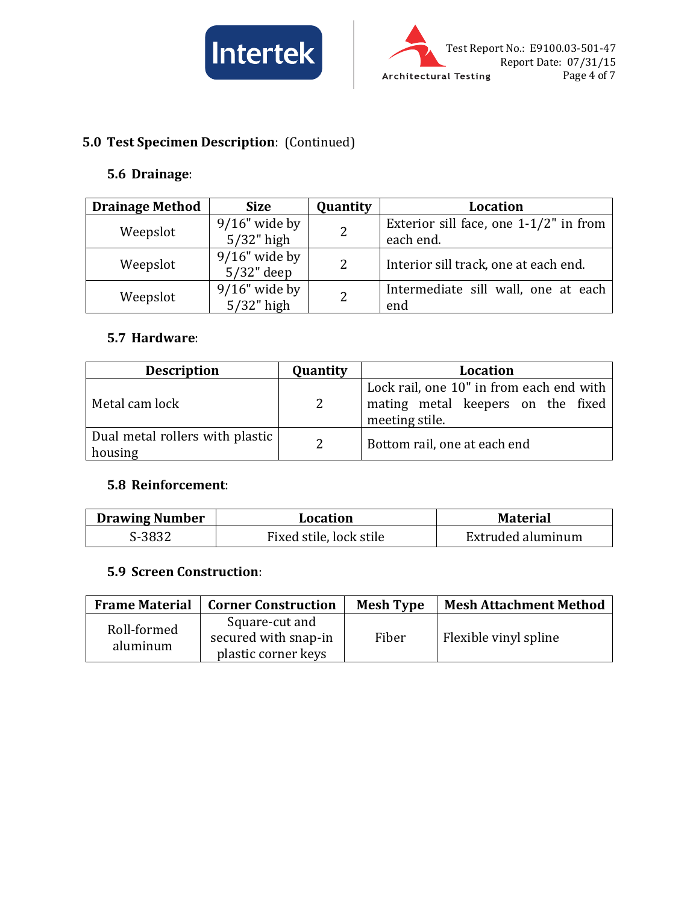



# **5.0 Test Specimen Description**: (Continued)

## **5.6 Drainage**:

| <b>Drainage Method</b> | <b>Size</b>      | Quantity | Location                                  |
|------------------------|------------------|----------|-------------------------------------------|
|                        | $9/16$ " wide by | 2        | Exterior sill face, one $1-1/2$ " in from |
| Weepslot               | $5/32$ " high    |          | each end.                                 |
| Weepslot               | $9/16$ " wide by | 2        | Interior sill track, one at each end.     |
|                        | $5/32$ " deep    |          |                                           |
|                        | $9/16$ " wide by | 2        | Intermediate sill wall, one at each       |
| Weepslot               | $5/32$ " high    |          | end                                       |

#### **5.7 Hardware**:

| <b>Description</b>                         | Quantity | Location                                                                                        |
|--------------------------------------------|----------|-------------------------------------------------------------------------------------------------|
| Metal cam lock                             | 2        | Lock rail, one 10" in from each end with<br>mating metal keepers on the fixed<br>meeting stile. |
| Dual metal rollers with plastic<br>housing | 2        | Bottom rail, one at each end                                                                    |

## **5.8 Reinforcement**:

| <b>Drawing Number</b> | Location                | <b>Material</b>   |
|-----------------------|-------------------------|-------------------|
| S-3832                | Fixed stile, lock stile | Extruded aluminum |

## **5.9 Screen Construction**:

| <b>Frame Material</b>   | <b>Corner Construction</b>                                    | <b>Mesh Type</b> | <b>Mesh Attachment Method</b> |
|-------------------------|---------------------------------------------------------------|------------------|-------------------------------|
| Roll-formed<br>aluminum | Square-cut and<br>secured with snap-in<br>plastic corner keys | Fiber            | Flexible vinyl spline         |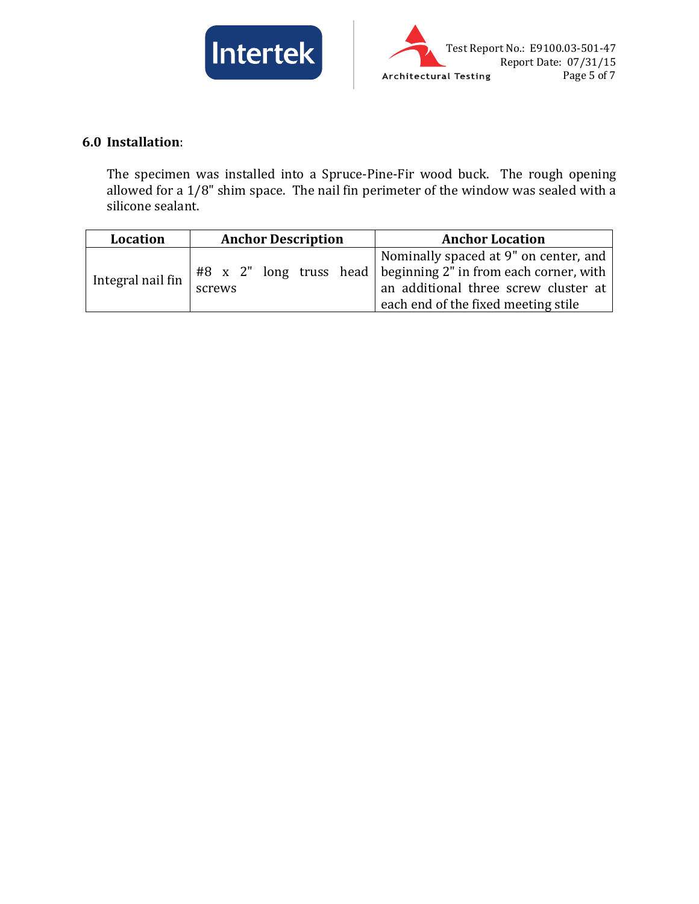



# **6.0 Installation**:

The specimen was installed into a Spruce-Pine-Fir wood buck. The rough opening allowed for a 1/8" shim space. The nail fin perimeter of the window was sealed with a silicone sealant.

| Location          | <b>Anchor Description</b> | <b>Anchor Location</b>                                                                                                                                                                   |
|-------------------|---------------------------|------------------------------------------------------------------------------------------------------------------------------------------------------------------------------------------|
| Integral nail fin | screws                    | Nominally spaced at 9" on center, and<br>$#8$ x 2" long truss head beginning 2" in from each corner, with<br>an additional three screw cluster at<br>each end of the fixed meeting stile |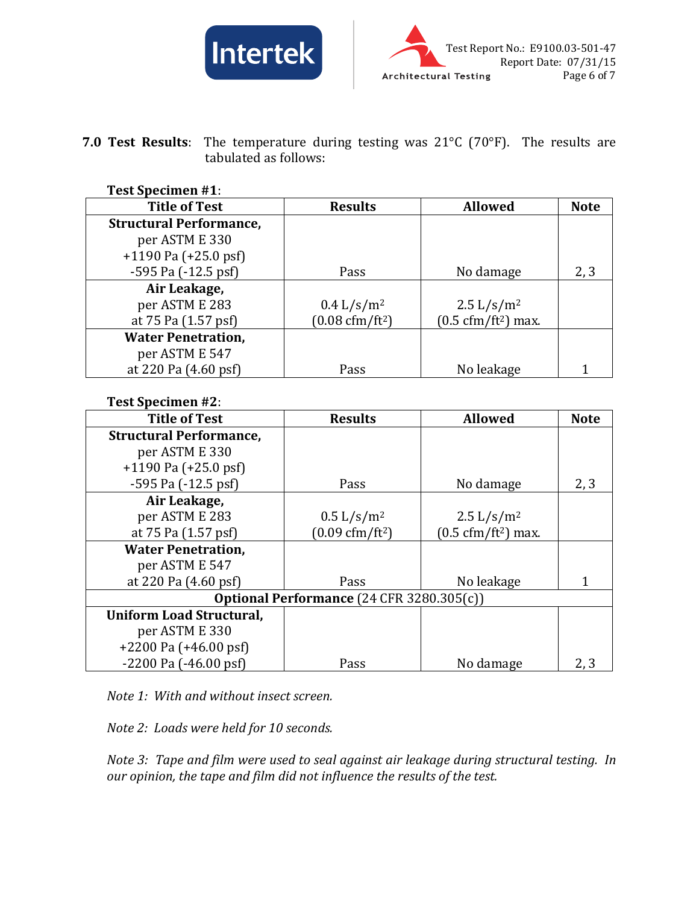



**7.0 Test Results**: The temperature during testing was 21°C (70°F). The results are tabulated as follows:

#### **Test Specimen #1**:

| <b>Title of Test</b>           | <b>Results</b>                   | <b>Allowed</b>                              | <b>Note</b> |
|--------------------------------|----------------------------------|---------------------------------------------|-------------|
| <b>Structural Performance,</b> |                                  |                                             |             |
| per ASTM E 330                 |                                  |                                             |             |
| $+1190$ Pa ( $+25.0$ psf)      |                                  |                                             |             |
| $-595$ Pa $(-12.5$ psf)        | Pass                             | No damage                                   | 2, 3        |
| Air Leakage,                   |                                  |                                             |             |
| per ASTM E 283                 | $0.4 \frac{L}{s/m^2}$            | $2.5 \frac{\text{L}}{\text{s}} \text{/m}^2$ |             |
| at 75 Pa (1.57 psf)            | $(0.08 \text{ cfm}/\text{ft}^2)$ | $(0.5 \text{ cfm}/\text{ft}^2)$ max.        |             |
| <b>Water Penetration,</b>      |                                  |                                             |             |
| per ASTM E 547                 |                                  |                                             |             |
| at 220 Pa (4.60 psf)           | Pass                             | No leakage                                  |             |

#### **Test Specimen #2**:

| <b>Title of Test</b>                             | <b>Results</b>                              | <b>Allowed</b>                              | <b>Note</b> |  |
|--------------------------------------------------|---------------------------------------------|---------------------------------------------|-------------|--|
| <b>Structural Performance,</b>                   |                                             |                                             |             |  |
| per ASTM E 330                                   |                                             |                                             |             |  |
| $+1190$ Pa $(+25.0$ psf)                         |                                             |                                             |             |  |
| $-595$ Pa $(-12.5$ psf)                          | Pass                                        | No damage                                   | 2, 3        |  |
| Air Leakage,                                     |                                             |                                             |             |  |
| per ASTM E 283                                   | $0.5 \frac{\text{L}}{\text{s}} \text{/m}^2$ | $2.5 \frac{\text{L}}{\text{s}} \text{/m}^2$ |             |  |
| at 75 Pa (1.57 psf)                              | $(0.09 \text{ cfm}/\text{ft}^2)$            | $(0.5 \text{ cfm}/\text{ft}^2)$ max.        |             |  |
| <b>Water Penetration,</b>                        |                                             |                                             |             |  |
| per ASTM E 547                                   |                                             |                                             |             |  |
| at 220 Pa (4.60 psf)                             | Pass                                        | No leakage                                  |             |  |
| <b>Optional Performance (24 CFR 3280.305(c))</b> |                                             |                                             |             |  |
| <b>Uniform Load Structural,</b>                  |                                             |                                             |             |  |
| per ASTM E 330                                   |                                             |                                             |             |  |
| $+2200$ Pa $(+46.00$ psf                         |                                             |                                             |             |  |
| $-2200$ Pa $(-46.00$ psf                         | Pass                                        | No damage                                   | 2, 3        |  |

*Note 1: With and without insect screen.*

*Note 2: Loads were held for 10 seconds.*

*Note 3: Tape and film were used to seal against air leakage during structural testing. In our opinion, the tape and film did not influence the results of the test.*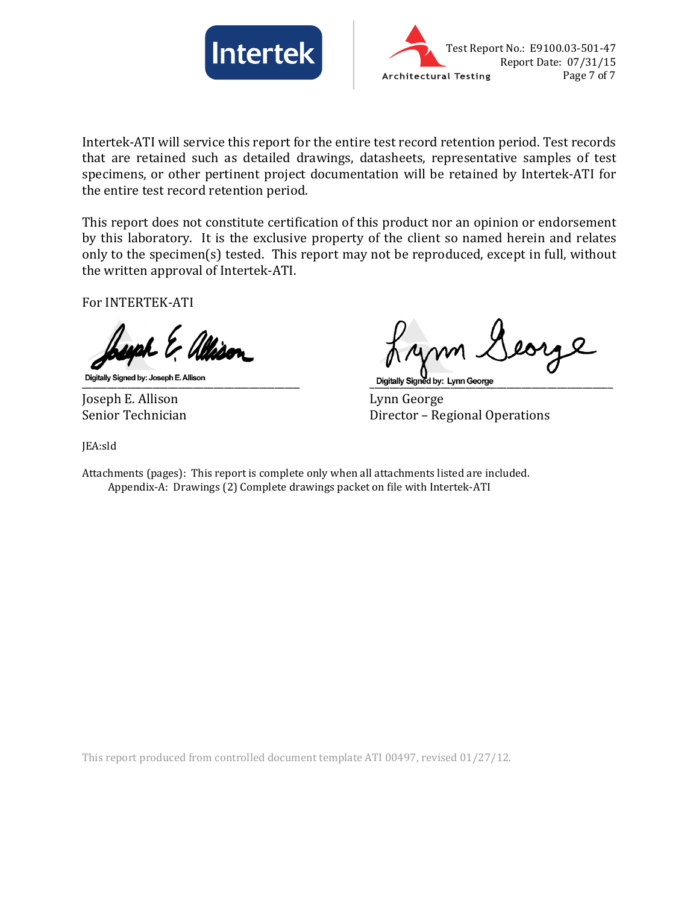



Intertek-ATI will service this report for the entire test record retention period. Test records that are retained such as detailed drawings, datasheets, representative samples of test specimens, or other pertinent project documentation will be retained by Intertek-ATI for the entire test record retention period.

This report does not constitute certification of this product nor an opinion or endorsement by this laboratory. It is the exclusive property of the client so named herein and relates only to the specimen(s) tested. This report may not be reproduced, except in full, without the written approval of Intertek-ATI.

For INTERTEK-ATI

Joseph E. Allison<br>Senior Technician

\_\_\_\_\_\_\_\_\_\_\_\_\_\_\_\_\_\_\_\_\_\_\_\_\_\_\_\_\_\_\_\_\_\_\_\_\_\_\_\_\_\_\_ \_\_\_\_\_\_\_\_\_\_\_\_\_\_\_\_\_\_\_\_\_\_\_\_\_\_\_\_\_\_\_\_\_\_\_\_\_\_\_\_\_\_\_\_\_\_\_\_

Director – Regional Operations

JEA:sld

Attachments (pages): This report is complete only when all attachments listed are included. Appendix-A: Drawings (2) Complete drawings packet on file with Intertek-ATI

This report produced from controlled document template ATI 00497, revised 01/27/12.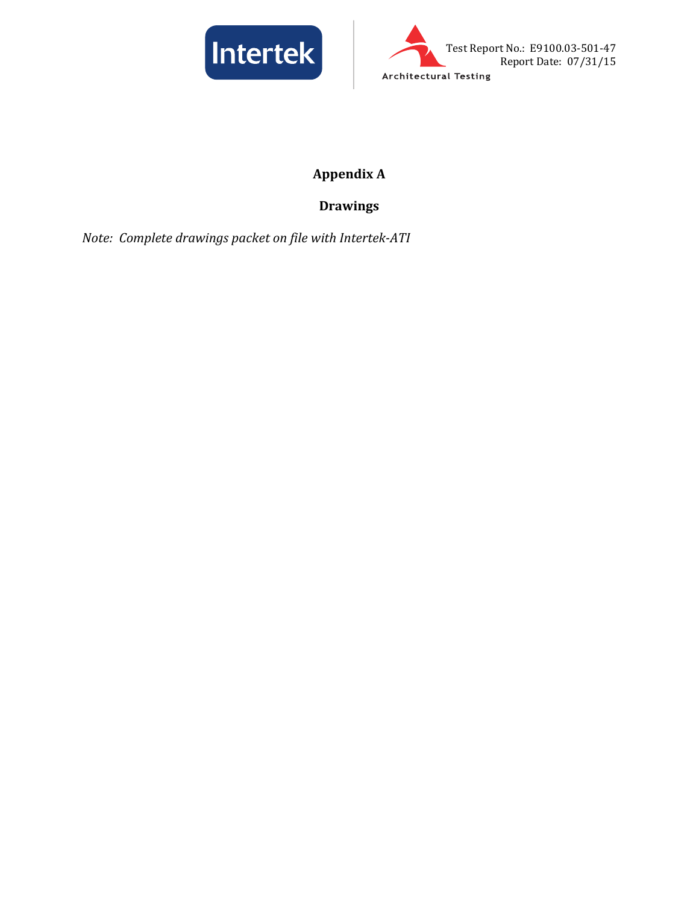



# **Appendix A**

# **Drawings**

*Note: Complete drawings packet on file with Intertek-ATI*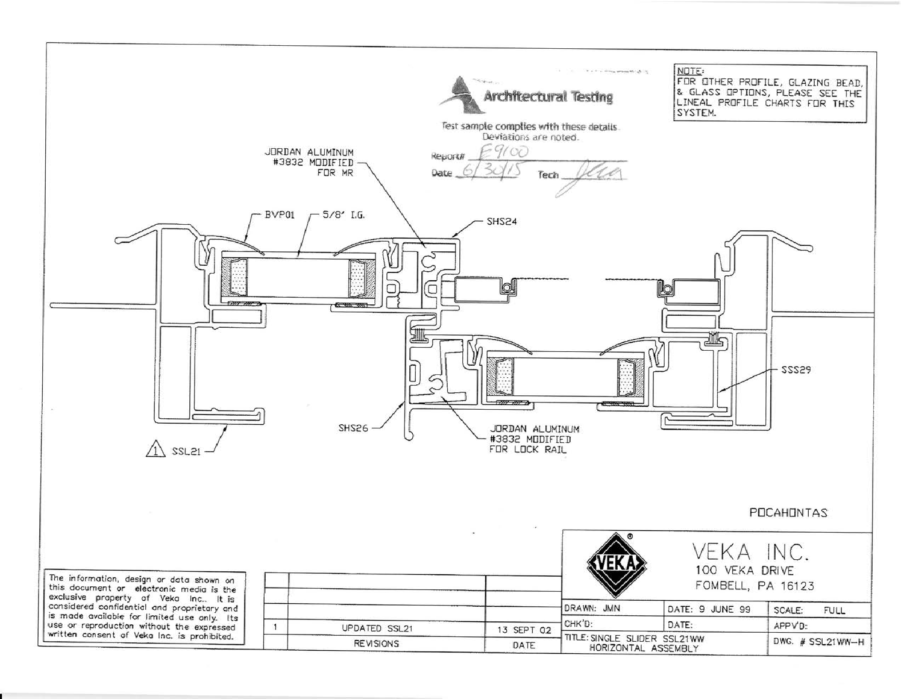